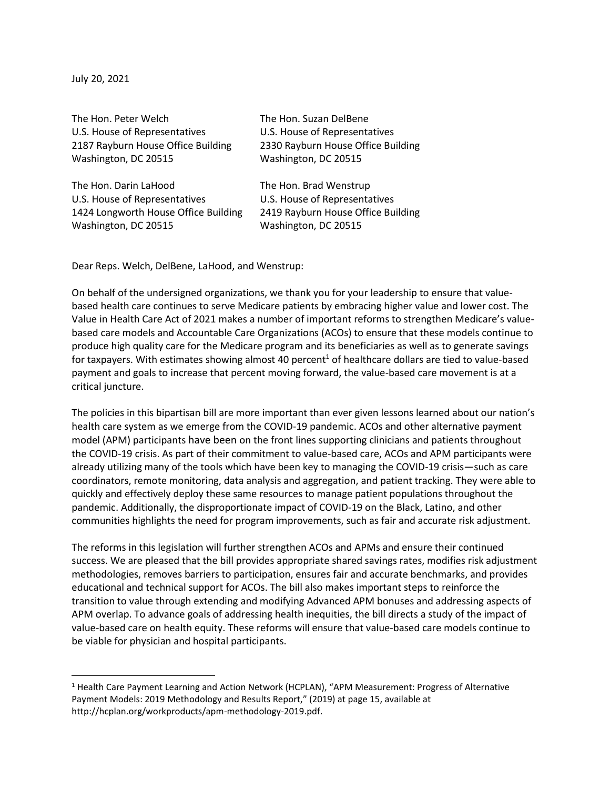July 20, 2021

| The Hon. Peter Welch                 | The Hon. Suzan DelBene             |
|--------------------------------------|------------------------------------|
| U.S. House of Representatives        | U.S. House of Representatives      |
| 2187 Rayburn House Office Building   | 2330 Rayburn House Office Building |
| Washington, DC 20515                 | Washington, DC 20515               |
|                                      |                                    |
| The Hon. Darin LaHood                | The Hon. Brad Wenstrup             |
| U.S. House of Representatives        | U.S. House of Representatives      |
| 1424 Longworth House Office Building | 2419 Rayburn House Office Building |
| Washington, DC 20515                 | Washington, DC 20515               |
|                                      |                                    |

Dear Reps. Welch, DelBene, LaHood, and Wenstrup:

On behalf of the undersigned organizations, we thank you for your leadership to ensure that valuebased health care continues to serve Medicare patients by embracing higher value and lower cost. The Value in Health Care Act of 2021 makes a number of important reforms to strengthen Medicare's valuebased care models and Accountable Care Organizations (ACOs) to ensure that these models continue to produce high quality care for the Medicare program and its beneficiaries as well as to generate savings for taxpayers. With estimates showing almost 40 percent<sup>1</sup> of healthcare dollars are tied to value-based payment and goals to increase that percent moving forward, the value-based care movement is at a critical juncture.

The policies in this bipartisan bill are more important than ever given lessons learned about our nation's health care system as we emerge from the COVID-19 pandemic. ACOs and other alternative payment model (APM) participants have been on the front lines supporting clinicians and patients throughout the COVID-19 crisis. As part of their commitment to value-based care, ACOs and APM participants were already utilizing many of the tools which have been key to managing the COVID-19 crisis—such as care coordinators, remote monitoring, data analysis and aggregation, and patient tracking. They were able to quickly and effectively deploy these same resources to manage patient populations throughout the pandemic. Additionally, the disproportionate impact of COVID-19 on the Black, Latino, and other communities highlights the need for program improvements, such as fair and accurate risk adjustment.

The reforms in this legislation will further strengthen ACOs and APMs and ensure their continued success. We are pleased that the bill provides appropriate shared savings rates, modifies risk adjustment methodologies, removes barriers to participation, ensures fair and accurate benchmarks, and provides educational and technical support for ACOs. The bill also makes important steps to reinforce the transition to value through extending and modifying Advanced APM bonuses and addressing aspects of APM overlap. To advance goals of addressing health inequities, the bill directs a study of the impact of value-based care on health equity. These reforms will ensure that value-based care models continue to be viable for physician and hospital participants.

<sup>&</sup>lt;sup>1</sup> Health Care Payment Learning and Action Network (HCPLAN), "APM Measurement: Progress of Alternative Payment Models: 2019 Methodology and Results Report," (2019) at page 15, available at http://hcplan.org/workproducts/apm-methodology-2019.pdf.